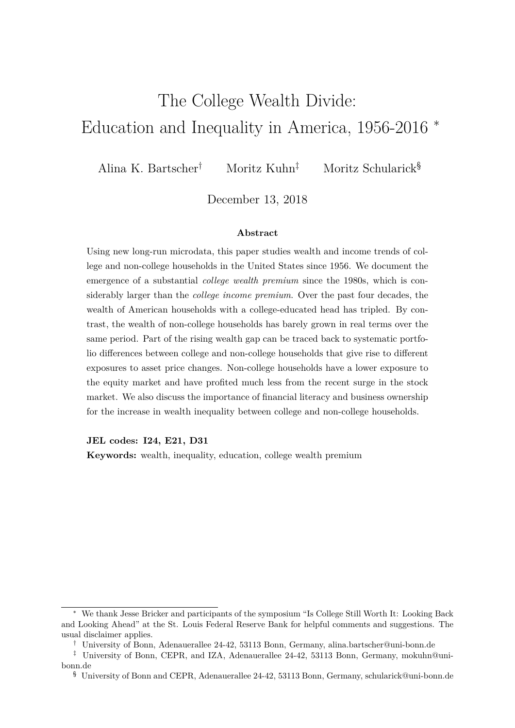# The College Wealth Divide: Education and Inequality in America, 1956-2016 <sup>∗</sup>

Alina K. Bartscher† Moritz Kuhn‡ Moritz Schularick§

December 13, 2018

#### **Abstract**

Using new long-run microdata, this paper studies wealth and income trends of college and non-college households in the United States since 1956. We document the emergence of a substantial *college wealth premium* since the 1980s, which is considerably larger than the *college income premium*. Over the past four decades, the wealth of American households with a college-educated head has tripled. By contrast, the wealth of non-college households has barely grown in real terms over the same period. Part of the rising wealth gap can be traced back to systematic portfolio differences between college and non-college households that give rise to different exposures to asset price changes. Non-college households have a lower exposure to the equity market and have profited much less from the recent surge in the stock market. We also discuss the importance of financial literacy and business ownership for the increase in wealth inequality between college and non-college households.

**JEL codes: I24, E21, D31**

**Keywords:** wealth, inequality, education, college wealth premium

<sup>∗</sup> We thank Jesse Bricker and participants of the symposium "Is College Still Worth It: Looking Back and Looking Ahead" at the St. Louis Federal Reserve Bank for helpful comments and suggestions. The usual disclaimer applies.

<sup>†</sup> University of Bonn, Adenauerallee 24-42, 53113 Bonn, Germany, alina.bartscher@uni-bonn.de

<sup>‡</sup> University of Bonn, CEPR, and IZA, Adenauerallee 24-42, 53113 Bonn, Germany, mokuhn@unibonn.de

<sup>§</sup> University of Bonn and CEPR, Adenauerallee 24-42, 53113 Bonn, Germany, schularick@uni-bonn.de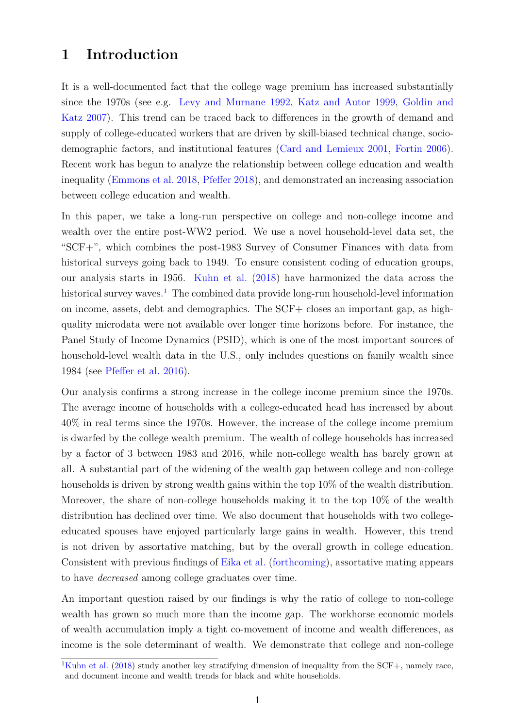### **1 Introduction**

It is a well-documented fact that the college wage premium has increased substantially since the 1970s (see e.g. [Levy and Murnane](#page-26-0) [1992,](#page-26-0) [Katz and Autor](#page-26-1) [1999,](#page-26-1) [Goldin and](#page-25-0) [Katz](#page-25-0) [2007\)](#page-25-0). This trend can be traced back to differences in the growth of demand and supply of college-educated workers that are driven by skill-biased technical change, sociodemographic factors, and institutional features [\(Card and Lemieux](#page-25-1) [2001,](#page-25-1) [Fortin](#page-25-2) [2006\)](#page-25-2). Recent work has begun to analyze the relationship between college education and wealth inequality [\(Emmons et al.](#page-25-3) [2018,](#page-25-3) [Pfeffer](#page-26-2) [2018\)](#page-26-2), and demonstrated an increasing association between college education and wealth.

In this paper, we take a long-run perspective on college and non-college income and wealth over the entire post-WW2 period. We use a novel household-level data set, the "SCF+", which combines the post-1983 Survey of Consumer Finances with data from historical surveys going back to 1949. To ensure consistent coding of education groups, our analysis starts in 1956. [Kuhn et al.](#page-26-3) [\(2018\)](#page-26-3) have harmonized the data across the historical survey waves.<sup>[1](#page-1-0)</sup> The combined data provide long-run household-level information on income, assets, debt and demographics. The SCF+ closes an important gap, as highquality microdata were not available over longer time horizons before. For instance, the Panel Study of Income Dynamics (PSID), which is one of the most important sources of household-level wealth data in the U.S., only includes questions on family wealth since 1984 (see [Pfeffer et al.](#page-26-4) [2016\)](#page-26-4).

Our analysis confirms a strong increase in the college income premium since the 1970s. The average income of households with a college-educated head has increased by about 40% in real terms since the 1970s. However, the increase of the college income premium is dwarfed by the college wealth premium. The wealth of college households has increased by a factor of 3 between 1983 and 2016, while non-college wealth has barely grown at all. A substantial part of the widening of the wealth gap between college and non-college households is driven by strong wealth gains within the top 10% of the wealth distribution. Moreover, the share of non-college households making it to the top 10% of the wealth distribution has declined over time. We also document that households with two collegeeducated spouses have enjoyed particularly large gains in wealth. However, this trend is not driven by assortative matching, but by the overall growth in college education. Consistent with previous findings of [Eika et al.](#page-25-4) [\(forthcoming\)](#page-25-4), assortative mating appears to have *decreased* among college graduates over time.

An important question raised by our findings is why the ratio of college to non-college wealth has grown so much more than the income gap. The workhorse economic models of wealth accumulation imply a tight co-movement of income and wealth differences, as income is the sole determinant of wealth. We demonstrate that college and non-college

<span id="page-1-0"></span><sup>&</sup>lt;sup>1</sup>[Kuhn et al.](#page-26-3) [\(2018\)](#page-26-3) study another key stratifying dimension of inequality from the SCF+, namely race, and document income and wealth trends for black and white households.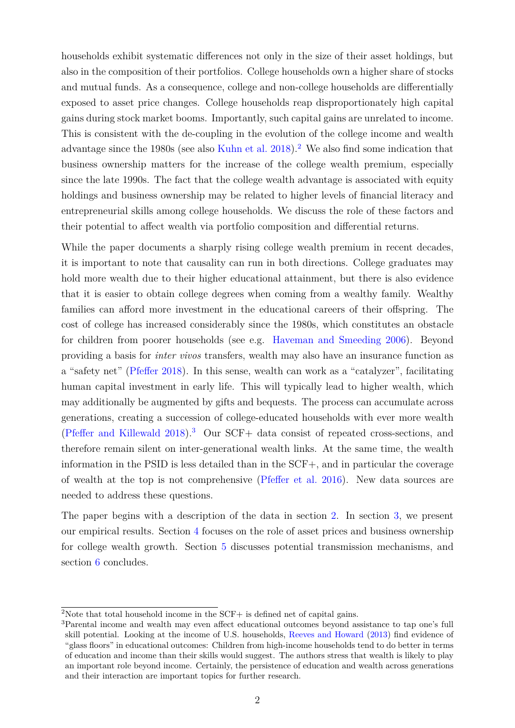households exhibit systematic differences not only in the size of their asset holdings, but also in the composition of their portfolios. College households own a higher share of stocks and mutual funds. As a consequence, college and non-college households are differentially exposed to asset price changes. College households reap disproportionately high capital gains during stock market booms. Importantly, such capital gains are unrelated to income. This is consistent with the de-coupling in the evolution of the college income and wealth advantage since the 1980s (see also [Kuhn et al.](#page-26-3) [2018\)](#page-26-3).<sup>[2](#page-2-0)</sup> We also find some indication that business ownership matters for the increase of the college wealth premium, especially since the late 1990s. The fact that the college wealth advantage is associated with equity holdings and business ownership may be related to higher levels of financial literacy and entrepreneurial skills among college households. We discuss the role of these factors and their potential to affect wealth via portfolio composition and differential returns.

While the paper documents a sharply rising college wealth premium in recent decades, it is important to note that causality can run in both directions. College graduates may hold more wealth due to their higher educational attainment, but there is also evidence that it is easier to obtain college degrees when coming from a wealthy family. Wealthy families can afford more investment in the educational careers of their offspring. The cost of college has increased considerably since the 1980s, which constitutes an obstacle for children from poorer households (see e.g. [Haveman and Smeeding](#page-26-5) [2006\)](#page-26-5). Beyond providing a basis for *inter vivos* transfers, wealth may also have an insurance function as a "safety net" [\(Pfeffer](#page-26-2) [2018\)](#page-26-2). In this sense, wealth can work as a "catalyzer", facilitating human capital investment in early life. This will typically lead to higher wealth, which may additionally be augmented by gifts and bequests. The process can accumulate across generations, creating a succession of college-educated households with ever more wealth [\(Pfeffer and Killewald](#page-26-6) [2018\)](#page-26-6).[3](#page-2-1) Our SCF+ data consist of repeated cross-sections, and therefore remain silent on inter-generational wealth links. At the same time, the wealth information in the PSID is less detailed than in the SCF+, and in particular the coverage of wealth at the top is not comprehensive [\(Pfeffer et al.](#page-26-4) [2016\)](#page-26-4). New data sources are needed to address these questions.

The paper begins with a description of the data in section [2.](#page-3-0) In section [3,](#page-4-0) we present our empirical results. Section [4](#page-13-0) focuses on the role of asset prices and business ownership for college wealth growth. Section [5](#page-19-0) discusses potential transmission mechanisms, and section [6](#page-24-0) concludes.

<span id="page-2-0"></span><sup>&</sup>lt;sup>2</sup>Note that total household income in the SCF+ is defined net of capital gains.

<span id="page-2-1"></span><sup>3</sup>Parental income and wealth may even affect educational outcomes beyond assistance to tap one's full skill potential. Looking at the income of U.S. households, [Reeves and Howard](#page-27-0) [\(2013\)](#page-27-0) find evidence of "glass floors" in educational outcomes: Children from high-income households tend to do better in terms of education and income than their skills would suggest. The authors stress that wealth is likely to play an important role beyond income. Certainly, the persistence of education and wealth across generations and their interaction are important topics for further research.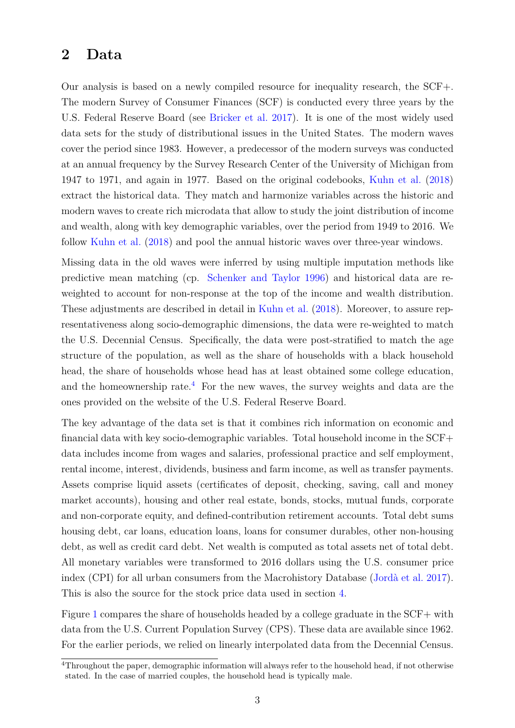### <span id="page-3-0"></span>**2 Data**

Our analysis is based on a newly compiled resource for inequality research, the SCF+. The modern Survey of Consumer Finances (SCF) is conducted every three years by the U.S. Federal Reserve Board (see [Bricker et al.](#page-25-5) [2017\)](#page-25-5). It is one of the most widely used data sets for the study of distributional issues in the United States. The modern waves cover the period since 1983. However, a predecessor of the modern surveys was conducted at an annual frequency by the Survey Research Center of the University of Michigan from 1947 to 1971, and again in 1977. Based on the original codebooks, [Kuhn et al.](#page-26-3) [\(2018\)](#page-26-3) extract the historical data. They match and harmonize variables across the historic and modern waves to create rich microdata that allow to study the joint distribution of income and wealth, along with key demographic variables, over the period from 1949 to 2016. We follow [Kuhn et al.](#page-26-3) [\(2018\)](#page-26-3) and pool the annual historic waves over three-year windows.

Missing data in the old waves were inferred by using multiple imputation methods like predictive mean matching (cp. [Schenker and Taylor](#page-27-1) [1996\)](#page-27-1) and historical data are reweighted to account for non-response at the top of the income and wealth distribution. These adjustments are described in detail in [Kuhn et al.](#page-26-3) [\(2018\)](#page-26-3). Moreover, to assure representativeness along socio-demographic dimensions, the data were re-weighted to match the U.S. Decennial Census. Specifically, the data were post-stratified to match the age structure of the population, as well as the share of households with a black household head, the share of households whose head has at least obtained some college education, and the homeownership rate.<sup>[4](#page-3-1)</sup> For the new waves, the survey weights and data are the ones provided on the website of the U.S. Federal Reserve Board.

The key advantage of the data set is that it combines rich information on economic and financial data with key socio-demographic variables. Total household income in the SCF+ data includes income from wages and salaries, professional practice and self employment, rental income, interest, dividends, business and farm income, as well as transfer payments. Assets comprise liquid assets (certificates of deposit, checking, saving, call and money market accounts), housing and other real estate, bonds, stocks, mutual funds, corporate and non-corporate equity, and defined-contribution retirement accounts. Total debt sums housing debt, car loans, education loans, loans for consumer durables, other non-housing debt, as well as credit card debt. Net wealth is computed as total assets net of total debt. All monetary variables were transformed to 2016 dollars using the U.S. consumer price index (CPI) for all urban consumers from the Macrohistory Database [\(Jordà et al.](#page-26-7) [2017\)](#page-26-7). This is also the source for the stock price data used in section [4.](#page-13-0)

Figure [1](#page-4-1) compares the share of households headed by a college graduate in the SCF+ with data from the U.S. Current Population Survey (CPS). These data are available since 1962. For the earlier periods, we relied on linearly interpolated data from the Decennial Census.

<span id="page-3-1"></span><sup>4</sup>Throughout the paper, demographic information will always refer to the household head, if not otherwise stated. In the case of married couples, the household head is typically male.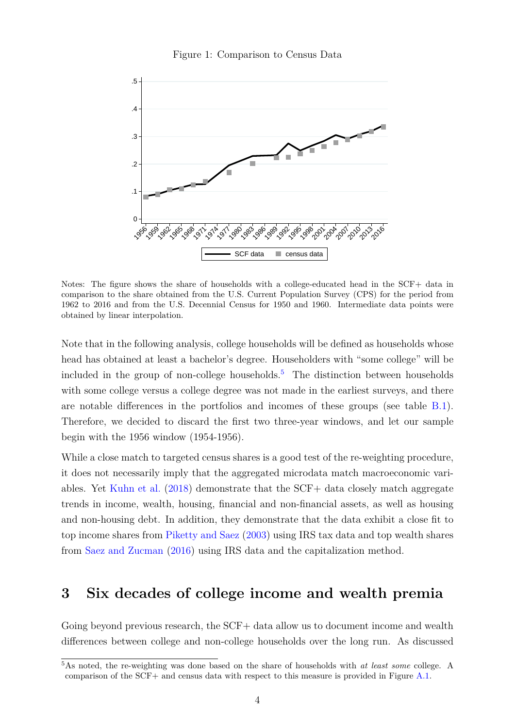

<span id="page-4-1"></span>

Notes: The figure shows the share of households with a college-educated head in the SCF+ data in comparison to the share obtained from the U.S. Current Population Survey (CPS) for the period from 1962 to 2016 and from the U.S. Decennial Census for 1950 and 1960. Intermediate data points were obtained by linear interpolation.

Note that in the following analysis, college households will be defined as households whose head has obtained at least a bachelor's degree. Householders with "some college" will be included in the group of non-college households.<sup>[5](#page-4-2)</sup> The distinction between households with some college versus a college degree was not made in the earliest surveys, and there are notable differences in the portfolios and incomes of these groups (see table [B.1\)](#page-30-0). Therefore, we decided to discard the first two three-year windows, and let our sample begin with the 1956 window (1954-1956).

While a close match to targeted census shares is a good test of the re-weighting procedure, it does not necessarily imply that the aggregated microdata match macroeconomic variables. Yet [Kuhn et al.](#page-26-3) [\(2018\)](#page-26-3) demonstrate that the SCF+ data closely match aggregate trends in income, wealth, housing, financial and non-financial assets, as well as housing and non-housing debt. In addition, they demonstrate that the data exhibit a close fit to top income shares from [Piketty and Saez](#page-26-8) [\(2003\)](#page-26-8) using IRS tax data and top wealth shares from [Saez and Zucman](#page-27-2) [\(2016\)](#page-27-2) using IRS data and the capitalization method.

## <span id="page-4-0"></span>**3 Six decades of college income and wealth premia**

Going beyond previous research, the SCF+ data allow us to document income and wealth differences between college and non-college households over the long run. As discussed

<span id="page-4-2"></span><sup>5</sup>As noted, the re-weighting was done based on the share of households with *at least some* college. A comparison of the SCF+ and census data with respect to this measure is provided in Figure [A.1.](#page-28-0)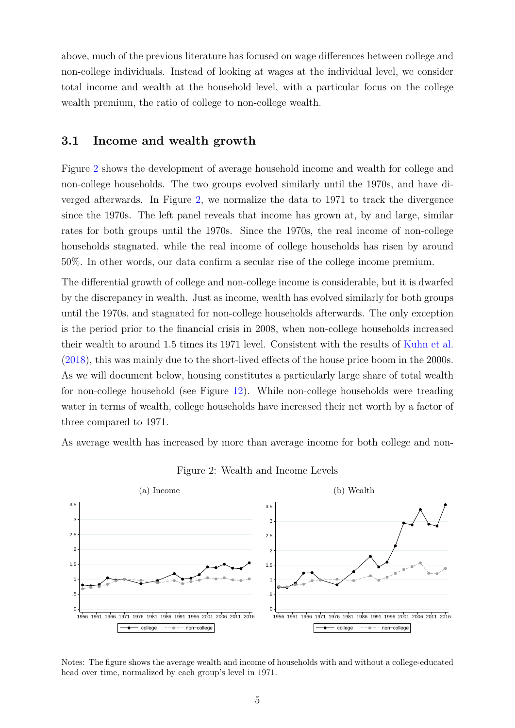above, much of the previous literature has focused on wage differences between college and non-college individuals. Instead of looking at wages at the individual level, we consider total income and wealth at the household level, with a particular focus on the college wealth premium, the ratio of college to non-college wealth.

#### **3.1 Income and wealth growth**

Figure [2](#page-5-0) shows the development of average household income and wealth for college and non-college households. The two groups evolved similarly until the 1970s, and have diverged afterwards. In Figure [2,](#page-5-0) we normalize the data to 1971 to track the divergence since the 1970s. The left panel reveals that income has grown at, by and large, similar rates for both groups until the 1970s. Since the 1970s, the real income of non-college households stagnated, while the real income of college households has risen by around 50%. In other words, our data confirm a secular rise of the college income premium.

The differential growth of college and non-college income is considerable, but it is dwarfed by the discrepancy in wealth. Just as income, wealth has evolved similarly for both groups until the 1970s, and stagnated for non-college households afterwards. The only exception is the period prior to the financial crisis in 2008, when non-college households increased their wealth to around 1.5 times its 1971 level. Consistent with the results of [Kuhn et al.](#page-26-3) [\(2018\)](#page-26-3), this was mainly due to the short-lived effects of the house price boom in the 2000s. As we will document below, housing constitutes a particularly large share of total wealth for non-college household (see Figure [12\)](#page-16-0). While non-college households were treading water in terms of wealth, college households have increased their net worth by a factor of three compared to 1971.

As average wealth has increased by more than average income for both college and non-

<span id="page-5-0"></span>

<span id="page-5-1"></span>Figure 2: Wealth and Income Levels

Notes: The figure shows the average wealth and income of households with and without a college-educated head over time, normalized by each group's level in 1971.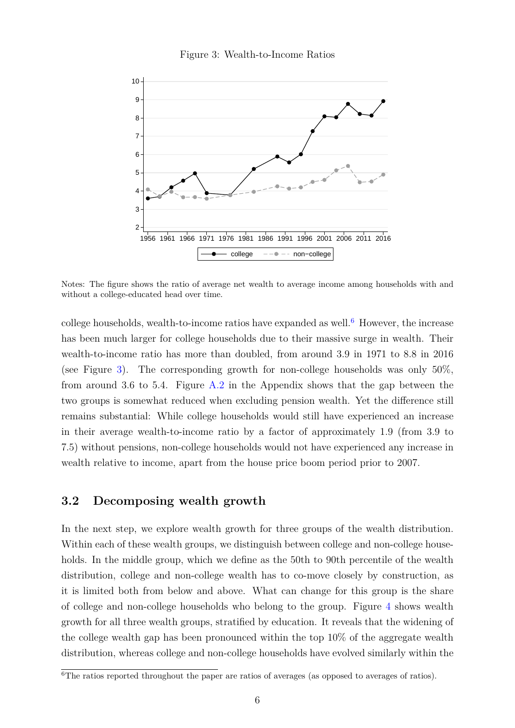<span id="page-6-1"></span>



Notes: The figure shows the ratio of average net wealth to average income among households with and without a college-educated head over time.

college households, wealth-to-income ratios have expanded as well.<sup>[6](#page-6-0)</sup> However, the increase has been much larger for college households due to their massive surge in wealth. Their wealth-to-income ratio has more than doubled, from around 3.9 in 1971 to 8.8 in 2016 (see Figure [3\)](#page-6-1). The corresponding growth for non-college households was only  $50\%$ . from around 3.6 to 5.4. Figure  $A.2$  in the Appendix shows that the gap between the two groups is somewhat reduced when excluding pension wealth. Yet the difference still remains substantial: While college households would still have experienced an increase in their average wealth-to-income ratio by a factor of approximately 1.9 (from 3.9 to 7.5) without pensions, non-college households would not have experienced any increase in wealth relative to income, apart from the house price boom period prior to 2007.

#### **3.2 Decomposing wealth growth**

In the next step, we explore wealth growth for three groups of the wealth distribution. Within each of these wealth groups, we distinguish between college and non-college households. In the middle group, which we define as the 50th to 90th percentile of the wealth distribution, college and non-college wealth has to co-move closely by construction, as it is limited both from below and above. What can change for this group is the share of college and non-college households who belong to the group. Figure [4](#page-7-0) shows wealth growth for all three wealth groups, stratified by education. It reveals that the widening of the college wealth gap has been pronounced within the top 10% of the aggregate wealth distribution, whereas college and non-college households have evolved similarly within the

<span id="page-6-0"></span><sup>&</sup>lt;sup>6</sup>The ratios reported throughout the paper are ratios of averages (as opposed to averages of ratios).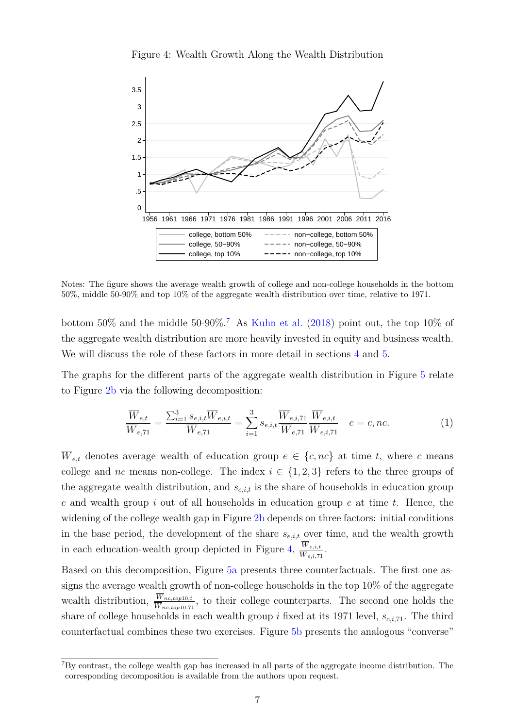<span id="page-7-0"></span>



Notes: The figure shows the average wealth growth of college and non-college households in the bottom 50%, middle 50-90% and top 10% of the aggregate wealth distribution over time, relative to 1971.

bottom 50% and the middle 50-90%.<sup>[7](#page-7-1)</sup> As [Kuhn et al.](#page-26-3) [\(2018\)](#page-26-3) point out, the top 10% of the aggregate wealth distribution are more heavily invested in equity and business wealth. We will discuss the role of these factors in more detail in sections [4](#page-13-0) and [5.](#page-19-0)

The graphs for the different parts of the aggregate wealth distribution in Figure [5](#page-8-0) relate to Figure [2b](#page-5-1) via the following decomposition:

$$
\frac{\overline{W}_{e,t}}{\overline{W}_{e,71}} = \frac{\sum_{i=1}^{3} s_{e,i,t} \overline{W}_{e,i,t}}{\overline{W}_{e,71}} = \sum_{i=1}^{3} s_{e,i,t} \frac{\overline{W}_{e,i,71}}{\overline{W}_{e,71}} \frac{\overline{W}_{e,i,t}}{\overline{W}_{e,i,71}} \quad e = c, nc.
$$
\n(1)

 $\overline{W}_{e,t}$  denotes average wealth of education group  $e \in \{c, nc\}$  at time *t*, where *c* means college and *nc* means non-college. The index  $i \in \{1,2,3\}$  refers to the three groups of the aggregate wealth distribution, and *se,i,t* is the share of households in education group *e* and wealth group *i* out of all households in education group *e* at time *t*. Hence, the widening of the college wealth gap in Figure [2b](#page-5-1) depends on three factors: initial conditions in the base period, the development of the share  $s_{e,i,t}$  over time, and the wealth growth in each education-wealth group depicted in Figure [4,](#page-7-0)  $\frac{W_{e,i,t}}{W}$  $\frac{W_{e,i,t}}{\overline{W}_{e,i,71}}$ .

Based on this decomposition, Figure [5a](#page-8-1) presents three counterfactuals. The first one assigns the average wealth growth of non-college households in the top 10% of the aggregate wealth distribution,  $\frac{W_{nc,top10,t}}{W_{nc,top10,71}}$ , to their college counterparts. The second one holds the share of college households in each wealth group *i* fixed at its 1971 level, *sc,i,*71. The third counterfactual combines these two exercises. Figure [5b](#page-8-2) presents the analogous "converse"

<span id="page-7-1"></span><sup>7</sup>By contrast, the college wealth gap has increased in all parts of the aggregate income distribution. The corresponding decomposition is available from the authors upon request.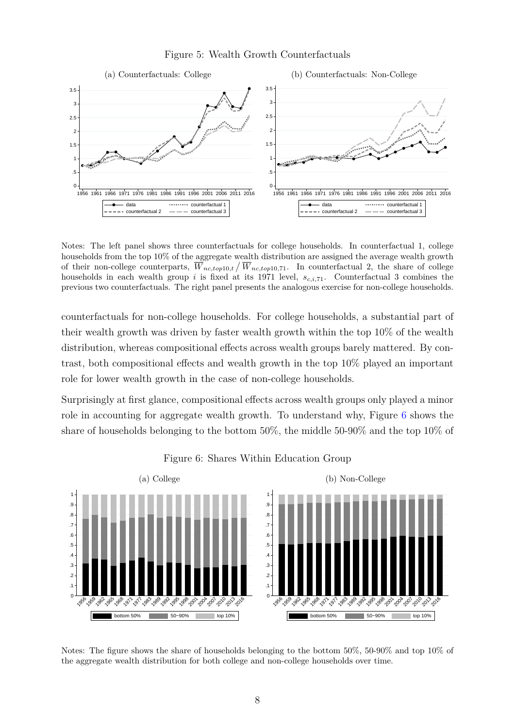#### <span id="page-8-2"></span>Figure 5: Wealth Growth Counterfactuals

<span id="page-8-1"></span><span id="page-8-0"></span>

Notes: The left panel shows three counterfactuals for college households. In counterfactual 1, college households from the top 10% of the aggregate wealth distribution are assigned the average wealth growth of their non-college counterparts,  $\overline{W}_{nc,top10,t}/\overline{W}_{nc,top10,71}$ . In counterfactual 2, the share of college households in each wealth group *i* is fixed at its 1971 level, *sc,i,*71. Counterfactual 3 combines the previous two counterfactuals. The right panel presents the analogous exercise for non-college households.

counterfactuals for non-college households. For college households, a substantial part of their wealth growth was driven by faster wealth growth within the top 10% of the wealth distribution, whereas compositional effects across wealth groups barely mattered. By contrast, both compositional effects and wealth growth in the top 10% played an important role for lower wealth growth in the case of non-college households.

Surprisingly at first glance, compositional effects across wealth groups only played a minor role in accounting for aggregate wealth growth. To understand why, Figure [6](#page-8-3) shows the share of households belonging to the bottom 50%, the middle 50-90% and the top 10% of

<span id="page-8-3"></span>

Figure 6: Shares Within Education Group

Notes: The figure shows the share of households belonging to the bottom 50%, 50-90% and top 10% of the aggregate wealth distribution for both college and non-college households over time.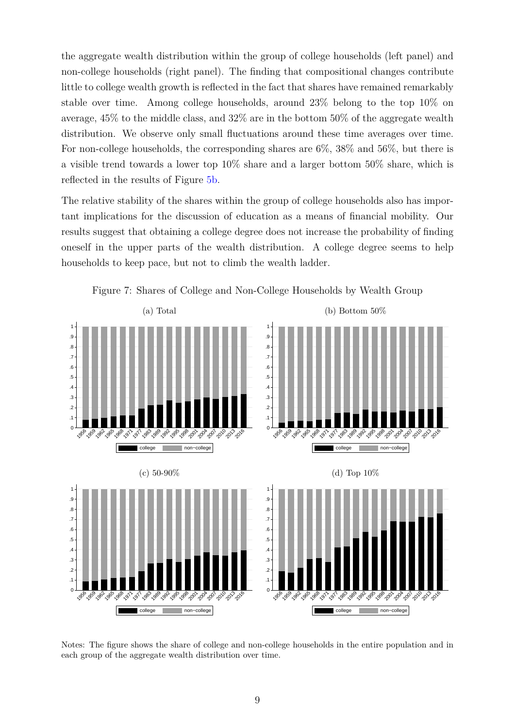the aggregate wealth distribution within the group of college households (left panel) and non-college households (right panel). The finding that compositional changes contribute little to college wealth growth is reflected in the fact that shares have remained remarkably stable over time. Among college households, around 23% belong to the top 10% on average, 45% to the middle class, and 32% are in the bottom 50% of the aggregate wealth distribution. We observe only small fluctuations around these time averages over time. For non-college households, the corresponding shares are 6%, 38% and 56%, but there is a visible trend towards a lower top 10% share and a larger bottom 50% share, which is reflected in the results of Figure [5b.](#page-8-2)

The relative stability of the shares within the group of college households also has important implications for the discussion of education as a means of financial mobility. Our results suggest that obtaining a college degree does not increase the probability of finding oneself in the upper parts of the wealth distribution. A college degree seems to help households to keep pace, but not to climb the wealth ladder.

<span id="page-9-0"></span>

Figure 7: Shares of College and Non-College Households by Wealth Group

Notes: The figure shows the share of college and non-college households in the entire population and in each group of the aggregate wealth distribution over time.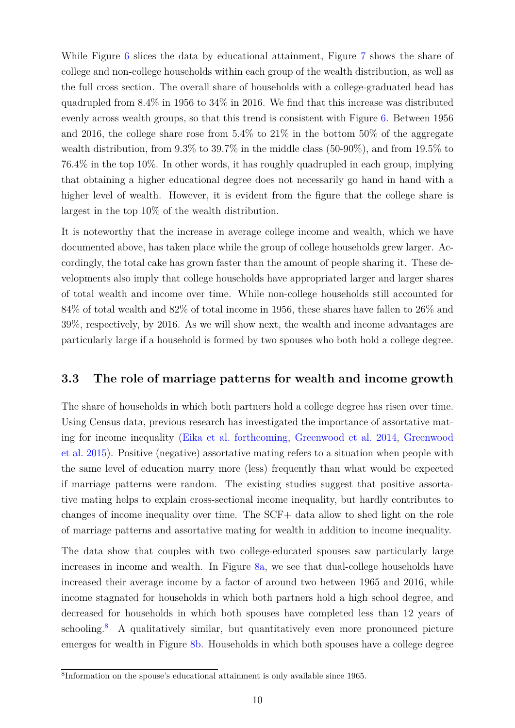While Figure [6](#page-8-3) slices the data by educational attainment, Figure [7](#page-9-0) shows the share of college and non-college households within each group of the wealth distribution, as well as the full cross section. The overall share of households with a college-graduated head has quadrupled from 8.4% in 1956 to 34% in 2016. We find that this increase was distributed evenly across wealth groups, so that this trend is consistent with Figure [6.](#page-8-3) Between 1956 and 2016, the college share rose from 5.4% to 21% in the bottom 50% of the aggregate wealth distribution, from 9.3% to 39.7% in the middle class (50-90%), and from 19.5% to 76.4% in the top 10%. In other words, it has roughly quadrupled in each group, implying that obtaining a higher educational degree does not necessarily go hand in hand with a higher level of wealth. However, it is evident from the figure that the college share is largest in the top 10% of the wealth distribution.

It is noteworthy that the increase in average college income and wealth, which we have documented above, has taken place while the group of college households grew larger. Accordingly, the total cake has grown faster than the amount of people sharing it. These developments also imply that college households have appropriated larger and larger shares of total wealth and income over time. While non-college households still accounted for 84% of total wealth and 82% of total income in 1956, these shares have fallen to 26% and 39%, respectively, by 2016. As we will show next, the wealth and income advantages are particularly large if a household is formed by two spouses who both hold a college degree.

#### **3.3 The role of marriage patterns for wealth and income growth**

The share of households in which both partners hold a college degree has risen over time. Using Census data, previous research has investigated the importance of assortative mating for income inequality [\(Eika et al.](#page-25-4) [forthcoming,](#page-25-4) [Greenwood et al.](#page-25-6) [2014,](#page-25-6) [Greenwood](#page-26-9) [et al.](#page-26-9) [2015\)](#page-26-9). Positive (negative) assortative mating refers to a situation when people with the same level of education marry more (less) frequently than what would be expected if marriage patterns were random. The existing studies suggest that positive assortative mating helps to explain cross-sectional income inequality, but hardly contributes to changes of income inequality over time. The SCF+ data allow to shed light on the role of marriage patterns and assortative mating for wealth in addition to income inequality.

The data show that couples with two college-educated spouses saw particularly large increases in income and wealth. In Figure [8a,](#page-11-0) we see that dual-college households have increased their average income by a factor of around two between 1965 and 2016, while income stagnated for households in which both partners hold a high school degree, and decreased for households in which both spouses have completed less than 12 years of schooling.<sup>[8](#page-10-0)</sup> A qualitatively similar, but quantitatively even more pronounced picture emerges for wealth in Figure [8b.](#page-11-1) Households in which both spouses have a college degree

<span id="page-10-0"></span><sup>8</sup> Information on the spouse's educational attainment is only available since 1965.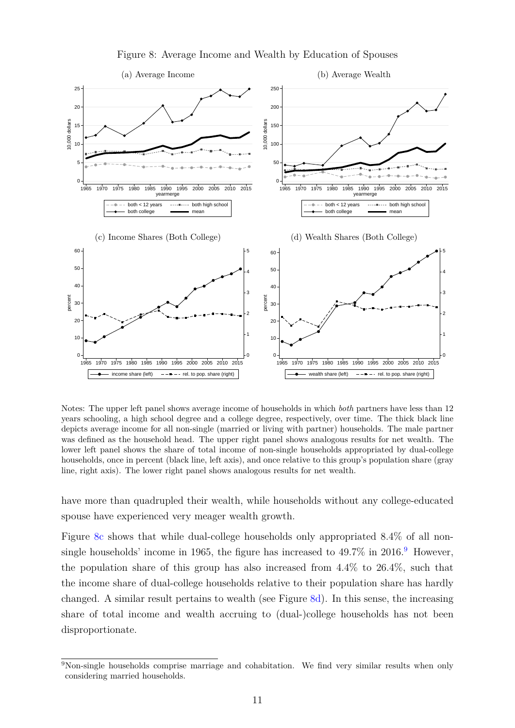<span id="page-11-2"></span><span id="page-11-0"></span>

<span id="page-11-4"></span><span id="page-11-1"></span>Figure 8: Average Income and Wealth by Education of Spouses

Notes: The upper left panel shows average income of households in which *both* partners have less than 12 years schooling, a high school degree and a college degree, respectively, over time. The thick black line depicts average income for all non-single (married or living with partner) households. The male partner was defined as the household head. The upper right panel shows analogous results for net wealth. The lower left panel shows the share of total income of non-single households appropriated by dual-college households, once in percent (black line, left axis), and once relative to this group's population share (gray line, right axis). The lower right panel shows analogous results for net wealth.

have more than quadrupled their wealth, while households without any college-educated spouse have experienced very meager wealth growth.

Figure [8c](#page-11-2) shows that while dual-college households only appropriated 8.4% of all non-single households' income in 1[9](#page-11-3)65, the figure has increased to  $49.7\%$  in  $2016.<sup>9</sup>$  However, the population share of this group has also increased from 4.4% to 26.4%, such that the income share of dual-college households relative to their population share has hardly changed. A similar result pertains to wealth (see Figure [8d\)](#page-11-4). In this sense, the increasing share of total income and wealth accruing to (dual-)college households has not been disproportionate.

<span id="page-11-3"></span><sup>&</sup>lt;sup>9</sup>Non-single households comprise marriage and cohabitation. We find very similar results when only considering married households.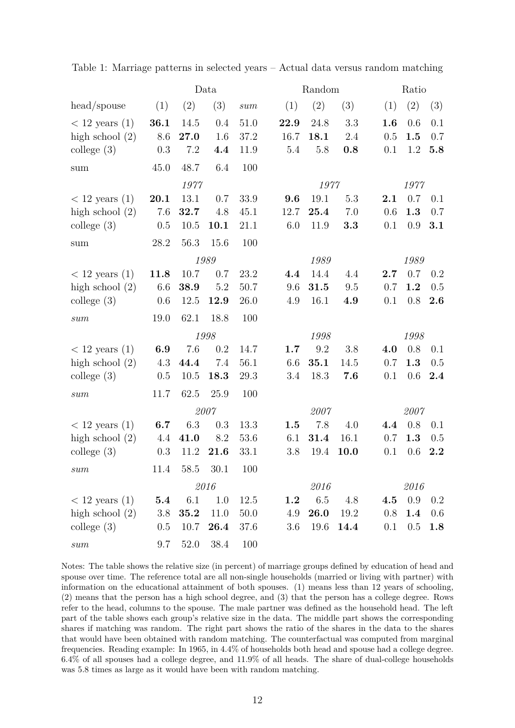|                                                                                         | Data    |                |      |      | Random  |      |      | Ratio |      |     |  |
|-----------------------------------------------------------------------------------------|---------|----------------|------|------|---------|------|------|-------|------|-----|--|
| head/spouse                                                                             | (1)     | (2)            | (3)  | sum  | (1)     | (2)  | (3)  | (1)   | (2)  | (3) |  |
| $<$ 12 years (1)                                                                        | 36.1    | 14.5           | 0.4  | 51.0 | 22.9    | 24.8 | 3.3  | 1.6   | 0.6  | 0.1 |  |
| high school $(2)$                                                                       | 8.6     | 27.0           | 1.6  | 37.2 | 16.7    | 18.1 | 2.4  | 0.5   | 1.5  | 0.7 |  |
| $\text{college } (3)$                                                                   | 0.3     | 7.2            | 4.4  | 11.9 | 5.4     | 5.8  | 0.8  | 0.1   | 1.2  | 5.8 |  |
| sum                                                                                     | 45.0    | 48.7           | 6.4  | 100  |         |      |      |       |      |     |  |
|                                                                                         |         | 1977           |      |      |         | 1977 |      |       | 1977 |     |  |
| $<$ 12 years (1)                                                                        | 20.1    | 13.1           | 0.7  | 33.9 | 9.6     | 19.1 | 5.3  | 2.1   | 0.7  | 0.1 |  |
| high school $(2)$                                                                       | 7.6     | 32.7           | 4.8  | 45.1 | 12.7    | 25.4 | 7.0  | 0.6   | 1.3  | 0.7 |  |
| college $(3)$                                                                           | 0.5     | 10.5           | 10.1 | 21.1 | 6.0     | 11.9 | 3.3  | 0.1   | 0.9  | 3.1 |  |
| sum                                                                                     | 28.2    | 56.3           | 15.6 | 100  |         |      |      |       |      |     |  |
|                                                                                         | 1989    |                |      |      |         | 1989 |      |       | 1989 |     |  |
| $< 12$ years $(1)$                                                                      | 11.8    | 10.7           | 0.7  | 23.2 | 4.4     | 14.4 | 4.4  | 2.7   | 0.7  | 0.2 |  |
| high school $(2)$                                                                       | 6.6     | 38.9           | 5.2  | 50.7 | 9.6     | 31.5 | 9.5  | 0.7   | 1.2  | 0.5 |  |
| $\text{college } (3)$                                                                   | 0.6     | 12.5           | 12.9 | 26.0 | 4.9     | 16.1 | 4.9  | 0.1   | 0.8  | 2.6 |  |
| sum                                                                                     | 19.0    | 62.1           | 18.8 | 100  |         |      |      |       |      |     |  |
|                                                                                         |         | 1998           |      |      |         | 1998 |      |       | 1998 |     |  |
| $<$ 12 years (1)                                                                        | 6.9     | 7.6            | 0.2  | 14.7 | 1.7     | 9.2  | 3.8  | 4.0   | 0.8  | 0.1 |  |
| high school $(2)$                                                                       | 4.3     | 44.4           | 7.4  | 56.1 | 6.6     | 35.1 | 14.5 | 0.7   | 1.3  | 0.5 |  |
| college $(3)$                                                                           | 0.5     | 10.5           | 18.3 | 29.3 | 3.4     | 18.3 | 7.6  | 0.1   | 0.6  | 2.4 |  |
| sum                                                                                     | 11.7    | 62.5           | 25.9 | 100  |         |      |      |       |      |     |  |
|                                                                                         | 2007    |                |      |      | 2007    |      |      | 2007  |      |     |  |
| $<$ 12 years (1)                                                                        | 6.7     | 6.3            | 0.3  | 13.3 | 1.5     | 7.8  | 4.0  | 4.4   | 0.8  | 0.1 |  |
| high school $(2)$                                                                       | 4.4     | 41.0           | 8.2  | 53.6 | 6.1     | 31.4 | 16.1 | 0.7   | 1.3  | 0.5 |  |
| $\text{college } (3)$                                                                   | 0.3     | 11.2           | 21.6 | 33.1 | 3.8     | 19.4 | 10.0 | 0.1   | 0.6  | 2.2 |  |
| sum                                                                                     |         | 11.4 58.5 30.1 |      | 100  |         |      |      |       |      |     |  |
|                                                                                         | 2016    |                |      |      | 2016    |      |      | 2016  |      |     |  |
| $< 12$ years $(1)$                                                                      | $5.4\,$ | 6.1            | 1.0  | 12.5 | $1.2\,$ | 6.5  | 4.8  | 4.5   | 0.9  | 0.2 |  |
| high school $(2)$                                                                       | 3.8     | 35.2           | 11.0 | 50.0 | 4.9     | 26.0 | 19.2 | 0.8   | 1.4  | 0.6 |  |
| college $(3)$                                                                           | $0.5\,$ | 10.7           | 26.4 | 37.6 | 3.6     | 19.6 | 14.4 | 0.1   | 0.5  | 1.8 |  |
| $\operatorname*{sum}% \left\{ \mathcal{M}_{i}\right\} =\left\{ \mathcal{M}_{i}\right\}$ | 9.7     | 52.0           | 38.4 | 100  |         |      |      |       |      |     |  |

<span id="page-12-0"></span>Table 1: Marriage patterns in selected years – Actual data versus random matching

Notes: The table shows the relative size (in percent) of marriage groups defined by education of head and spouse over time. The reference total are all non-single households (married or living with partner) with information on the educational attainment of both spouses. (1) means less than 12 years of schooling, (2) means that the person has a high school degree, and (3) that the person has a college degree. Rows refer to the head, columns to the spouse. The male partner was defined as the household head. The left part of the table shows each group's relative size in the data. The middle part shows the corresponding shares if matching was random. The right part shows the ratio of the shares in the data to the shares that would have been obtained with random matching. The counterfactual was computed from marginal frequencies. Reading example: In 1965, in 4.4% of households both head and spouse had a college degree. 6.4% of all spouses had a college degree, and 11.9% of all heads. The share of dual-college households was 5.8 times as large as it would have been with random matching.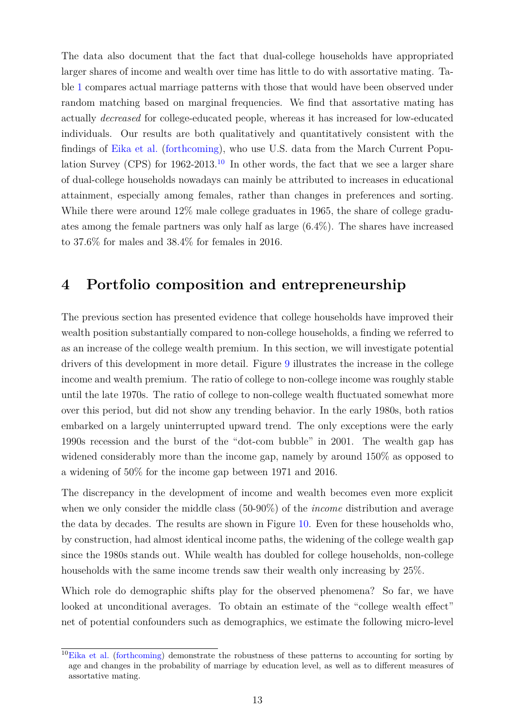The data also document that the fact that dual-college households have appropriated larger shares of income and wealth over time has little to do with assortative mating. Table [1](#page-12-0) compares actual marriage patterns with those that would have been observed under random matching based on marginal frequencies. We find that assortative mating has actually *decreased* for college-educated people, whereas it has increased for low-educated individuals. Our results are both qualitatively and quantitatively consistent with the findings of [Eika et al.](#page-25-4) [\(forthcoming\)](#page-25-4), who use U.S. data from the March Current Population Survey (CPS) for  $1962-2013$ .<sup>[10](#page-13-1)</sup> In other words, the fact that we see a larger share of dual-college households nowadays can mainly be attributed to increases in educational attainment, especially among females, rather than changes in preferences and sorting. While there were around 12% male college graduates in 1965, the share of college graduates among the female partners was only half as large (6.4%). The shares have increased to 37.6% for males and 38.4% for females in 2016.

### <span id="page-13-0"></span>**4 Portfolio composition and entrepreneurship**

The previous section has presented evidence that college households have improved their wealth position substantially compared to non-college households, a finding we referred to as an increase of the college wealth premium. In this section, we will investigate potential drivers of this development in more detail. Figure [9](#page-14-0) illustrates the increase in the college income and wealth premium. The ratio of college to non-college income was roughly stable until the late 1970s. The ratio of college to non-college wealth fluctuated somewhat more over this period, but did not show any trending behavior. In the early 1980s, both ratios embarked on a largely uninterrupted upward trend. The only exceptions were the early 1990s recession and the burst of the "dot-com bubble" in 2001. The wealth gap has widened considerably more than the income gap, namely by around 150% as opposed to a widening of 50% for the income gap between 1971 and 2016.

The discrepancy in the development of income and wealth becomes even more explicit when we only consider the middle class (50-90%) of the *income* distribution and average the data by decades. The results are shown in Figure [10.](#page-14-1) Even for these households who, by construction, had almost identical income paths, the widening of the college wealth gap since the 1980s stands out. While wealth has doubled for college households, non-college households with the same income trends saw their wealth only increasing by  $25\%$ .

Which role do demographic shifts play for the observed phenomena? So far, we have looked at unconditional averages. To obtain an estimate of the "college wealth effect" net of potential confounders such as demographics, we estimate the following micro-level

<span id="page-13-1"></span> $10$ [Eika et al.](#page-25-4) [\(forthcoming\)](#page-25-4) demonstrate the robustness of these patterns to accounting for sorting by age and changes in the probability of marriage by education level, as well as to different measures of assortative mating.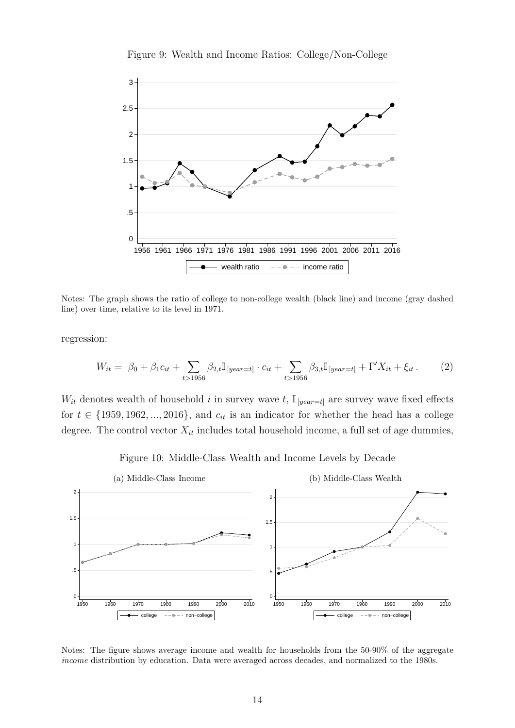<span id="page-14-0"></span>

Figure 9: Wealth and Income Ratios: College/Non-College

Notes: The graph shows the ratio of college to non-college wealth (black line) and income (gray dashed line) over time, relative to its level in 1971.

regression:

$$
W_{it} = \beta_0 + \beta_1 c_{it} + \sum_{t > 1956} \beta_{2,t} \mathbb{I}_{[year=t]} \cdot c_{it} + \sum_{t > 1956} \beta_{3,t} \mathbb{I}_{[year=t]} + \Gamma' X_{it} + \xi_{it}.
$$
 (2)

 $W_{it}$  denotes wealth of household *i* in survey wave *t*,  $\mathbb{I}_{\text{[year=t]}}$  are survey wave fixed effects for  $t \in \{1959, 1962, ..., 2016\}$ , and  $c_{it}$  is an indicator for whether the head has a college degree. The control vector  $X_{it}$  includes total household income, a full set of age dummies,

<span id="page-14-3"></span><span id="page-14-2"></span>Figure 10: Middle-Class Wealth and Income Levels by Decade

<span id="page-14-1"></span>

Notes: The figure shows average income and wealth for households from the 50-90% of the aggregate *income* distribution by education. Data were averaged across decades, and normalized to the 1980s.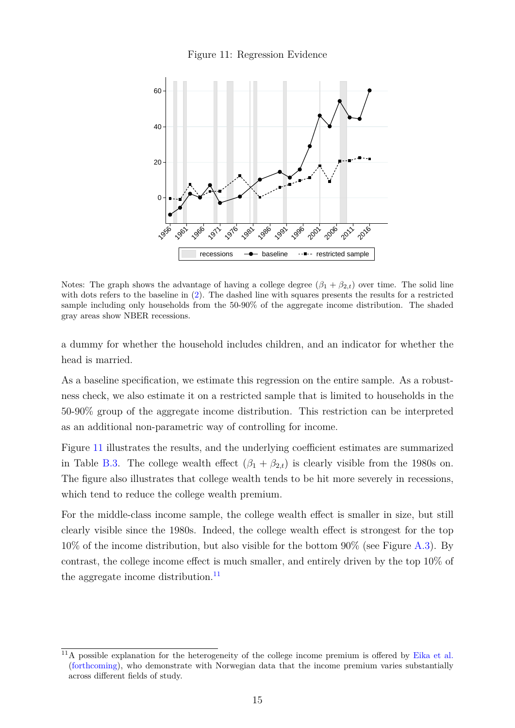

<span id="page-15-0"></span>

Notes: The graph shows the advantage of having a college degree  $(\beta_1 + \beta_2)_t$  over time. The solid line with dots refers to the baseline in [\(2\)](#page-14-2). The dashed line with squares presents the results for a restricted sample including only households from the 50-90% of the aggregate income distribution. The shaded gray areas show NBER recessions.

a dummy for whether the household includes children, and an indicator for whether the head is married.

As a baseline specification, we estimate this regression on the entire sample. As a robustness check, we also estimate it on a restricted sample that is limited to households in the 50-90% group of the aggregate income distribution. This restriction can be interpreted as an additional non-parametric way of controlling for income.

Figure [11](#page-15-0) illustrates the results, and the underlying coefficient estimates are summarized in Table [B.3.](#page-31-0) The college wealth effect  $(\beta_1 + \beta_{2,t})$  is clearly visible from the 1980s on. The figure also illustrates that college wealth tends to be hit more severely in recessions, which tend to reduce the college wealth premium.

For the middle-class income sample, the college wealth effect is smaller in size, but still clearly visible since the 1980s. Indeed, the college wealth effect is strongest for the top  $10\%$  of the income distribution, but also visible for the bottom  $90\%$  (see Figure [A.3\)](#page-29-0). By contrast, the college income effect is much smaller, and entirely driven by the top 10% of the aggregate income distribution. $^{11}$  $^{11}$  $^{11}$ 

<span id="page-15-1"></span><sup>&</sup>lt;sup>11</sup>A possible explanation for the heterogeneity of the college income premium is offered by [Eika et al.](#page-25-4) [\(forthcoming\)](#page-25-4), who demonstrate with Norwegian data that the income premium varies substantially across different fields of study.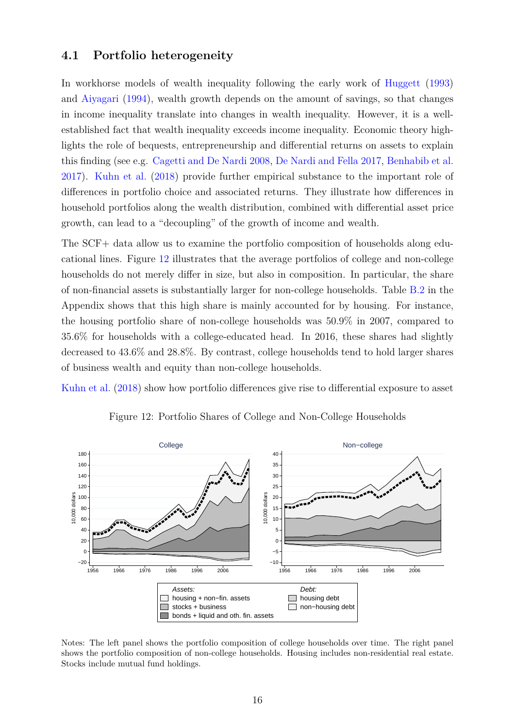#### **4.1 Portfolio heterogeneity**

In workhorse models of wealth inequality following the early work of [Huggett](#page-26-10) [\(1993\)](#page-26-10) and [Aiyagari](#page-25-7) [\(1994\)](#page-25-7), wealth growth depends on the amount of savings, so that changes in income inequality translate into changes in wealth inequality. However, it is a wellestablished fact that wealth inequality exceeds income inequality. Economic theory highlights the role of bequests, entrepreneurship and differential returns on assets to explain this finding (see e.g. [Cagetti and De Nardi](#page-25-8) [2008,](#page-25-8) [De Nardi and Fella](#page-25-9) [2017,](#page-25-9) [Benhabib et al.](#page-25-10) [2017\)](#page-25-10). [Kuhn et al.](#page-26-3) [\(2018\)](#page-26-3) provide further empirical substance to the important role of differences in portfolio choice and associated returns. They illustrate how differences in household portfolios along the wealth distribution, combined with differential asset price growth, can lead to a "decoupling" of the growth of income and wealth.

The SCF+ data allow us to examine the portfolio composition of households along educational lines. Figure [12](#page-16-0) illustrates that the average portfolios of college and non-college households do not merely differ in size, but also in composition. In particular, the share of non-financial assets is substantially larger for non-college households. Table [B.2](#page-30-1) in the Appendix shows that this high share is mainly accounted for by housing. For instance, the housing portfolio share of non-college households was 50.9% in 2007, compared to 35.6% for households with a college-educated head. In 2016, these shares had slightly decreased to 43.6% and 28.8%. By contrast, college households tend to hold larger shares of business wealth and equity than non-college households.

<span id="page-16-0"></span>[Kuhn et al.](#page-26-3) [\(2018\)](#page-26-3) show how portfolio differences give rise to differential exposure to asset



Figure 12: Portfolio Shares of College and Non-College Households

Notes: The left panel shows the portfolio composition of college households over time. The right panel shows the portfolio composition of non-college households. Housing includes non-residential real estate. Stocks include mutual fund holdings.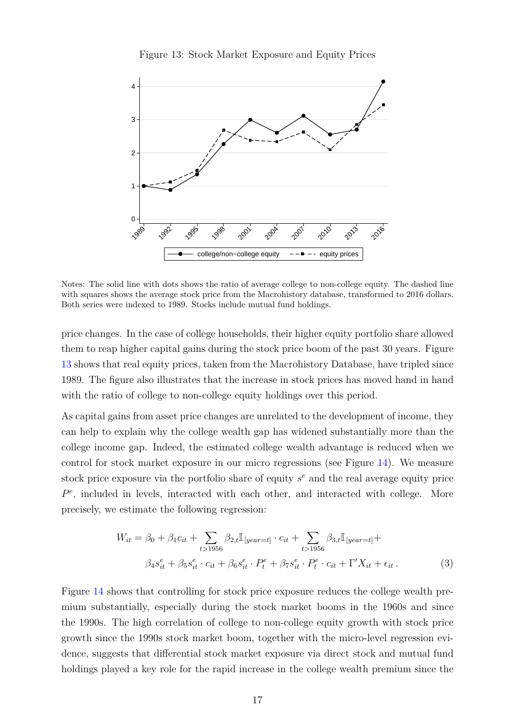

<span id="page-17-0"></span>

Notes: The solid line with dots shows the ratio of average college to non-college equity. The dashed line with squares shows the average stock price from the Macrohistory database, transformed to 2016 dollars. Both series were indexed to 1989. Stocks include mutual fund holdings.

price changes. In the case of college households, their higher equity portfolio share allowed them to reap higher capital gains during the stock price boom of the past 30 years. Figure [13](#page-17-0) shows that real equity prices, taken from the Macrohistory Database, have tripled since 1989. The figure also illustrates that the increase in stock prices has moved hand in hand with the ratio of college to non-college equity holdings over this period.

As capital gains from asset price changes are unrelated to the development of income, they can help to explain why the college wealth gap has widened substantially more than the college income gap. Indeed, the estimated college wealth advantage is reduced when we control for stock market exposure in our micro regressions (see Figure [14\)](#page-18-0). We measure stock price exposure via the portfolio share of equity *s <sup>e</sup>* and the real average equity price  $P^e$ , included in levels, interacted with each other, and interacted with college. More precisely, we estimate the following regression:

<span id="page-17-2"></span><span id="page-17-1"></span>
$$
W_{it} = \beta_0 + \beta_1 c_{it} + \sum_{t > 1956} \beta_{2,t} \mathbb{I}_{[year=t]} \cdot c_{it} + \sum_{t > 1956} \beta_{3,t} \mathbb{I}_{[year=t]} + \beta_4 s_{it}^e + \beta_5 s_{it}^e \cdot c_{it} + \beta_6 s_{it}^e \cdot P_t^e + \beta_7 s_{it}^e \cdot P_t^e \cdot c_{it} + \Gamma' X_{it} + \epsilon_{it}.
$$
\n(3)

Figure [14](#page-18-0) shows that controlling for stock price exposure reduces the college wealth premium substantially, especially during the stock market booms in the 1960s and since the 1990s. The high correlation of college to non-college equity growth with stock price growth since the 1990s stock market boom, together with the micro-level regression evidence, suggests that differential stock market exposure via direct stock and mutual fund holdings played a key role for the rapid increase in the college wealth premium since the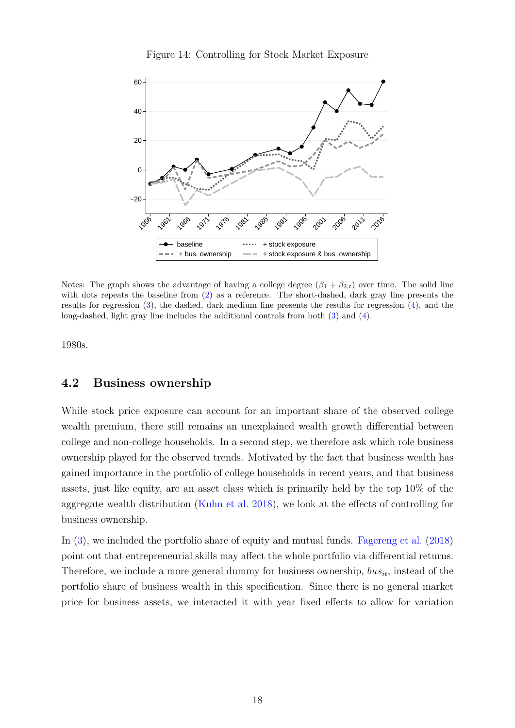

<span id="page-18-0"></span>

Notes: The graph shows the advantage of having a college degree  $(\beta_1 + \beta_{2,t})$  over time. The solid line with dots repeats the baseline from [\(2\)](#page-14-2) as a reference. The short-dashed, dark gray line presents the results for regression [\(3\)](#page-17-1), the dashed, dark medium line presents the results for regression [\(4\)](#page-19-1), and the long-dashed, light gray line includes the additional controls from both [\(3\)](#page-17-1) and [\(4\)](#page-19-1).

1980s.

#### **4.2 Business ownership**

While stock price exposure can account for an important share of the observed college wealth premium, there still remains an unexplained wealth growth differential between college and non-college households. In a second step, we therefore ask which role business ownership played for the observed trends. Motivated by the fact that business wealth has gained importance in the portfolio of college households in recent years, and that business assets, just like equity, are an asset class which is primarily held by the top 10% of the aggregate wealth distribution [\(Kuhn et al.](#page-26-3) [2018\)](#page-26-3), we look at the effects of controlling for business ownership.

In [\(3\)](#page-17-1), we included the portfolio share of equity and mutual funds. [Fagereng et al.](#page-25-11) [\(2018\)](#page-25-11) point out that entrepreneurial skills may affect the whole portfolio via differential returns. Therefore, we include a more general dummy for business ownership, *busit*, instead of the portfolio share of business wealth in this specification. Since there is no general market price for business assets, we interacted it with year fixed effects to allow for variation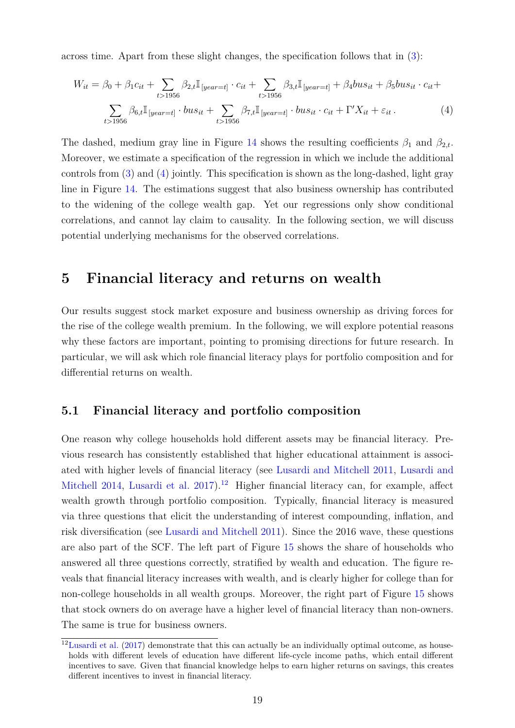across time. Apart from these slight changes, the specification follows that in [\(3\)](#page-17-1):

<span id="page-19-1"></span>
$$
W_{it} = \beta_0 + \beta_1 c_{it} + \sum_{t>1956} \beta_{2,t} \mathbb{I}_{[year=t]} \cdot c_{it} + \sum_{t>1956} \beta_{3,t} \mathbb{I}_{[year=t]} + \beta_4 bus_{it} + \beta_5 bus_{it} \cdot c_{it} + \sum_{t>1956} \beta_{6,t} \mathbb{I}_{[year=t]} \cdot bus_{it} + \sum_{t>1956} \beta_{7,t} \mathbb{I}_{[year=t]} \cdot bus_{it} \cdot c_{it} + \Gamma' X_{it} + \varepsilon_{it}.
$$
\n(4)

The dashed, medium gray line in Figure [14](#page-18-0) shows the resulting coefficients  $\beta_1$  and  $\beta_{2,t}$ . Moreover, we estimate a specification of the regression in which we include the additional controls from  $(3)$  and  $(4)$  jointly. This specification is shown as the long-dashed, light gray line in Figure [14.](#page-18-0) The estimations suggest that also business ownership has contributed to the widening of the college wealth gap. Yet our regressions only show conditional correlations, and cannot lay claim to causality. In the following section, we will discuss potential underlying mechanisms for the observed correlations.

### <span id="page-19-0"></span>**5 Financial literacy and returns on wealth**

Our results suggest stock market exposure and business ownership as driving forces for the rise of the college wealth premium. In the following, we will explore potential reasons why these factors are important, pointing to promising directions for future research. In particular, we will ask which role financial literacy plays for portfolio composition and for differential returns on wealth.

#### **5.1 Financial literacy and portfolio composition**

<span id="page-19-3"></span>One reason why college households hold different assets may be financial literacy. Previous research has consistently established that higher educational attainment is associated with higher levels of financial literacy (see [Lusardi and Mitchell](#page-26-11) [2011,](#page-26-11) [Lusardi and](#page-26-12) [Mitchell](#page-26-12) [2014,](#page-26-12) [Lusardi et al.](#page-26-13)  $2017$ .<sup>[12](#page-19-2)</sup> Higher financial literacy can, for example, affect wealth growth through portfolio composition. Typically, financial literacy is measured via three questions that elicit the understanding of interest compounding, inflation, and risk diversification (see [Lusardi and Mitchell](#page-26-11) [2011\)](#page-26-11). Since the 2016 wave, these questions are also part of the SCF. The left part of Figure [15](#page-20-0) shows the share of households who answered all three questions correctly, stratified by wealth and education. The figure reveals that financial literacy increases with wealth, and is clearly higher for college than for non-college households in all wealth groups. Moreover, the right part of Figure [15](#page-20-0) shows that stock owners do on average have a higher level of financial literacy than non-owners. The same is true for business owners.

<span id="page-19-2"></span> $12$ [Lusardi et al.](#page-26-13) [\(2017\)](#page-26-13) demonstrate that this can actually be an individually optimal outcome, as households with different levels of education have different life-cycle income paths, which entail different incentives to save. Given that financial knowledge helps to earn higher returns on savings, this creates different incentives to invest in financial literacy.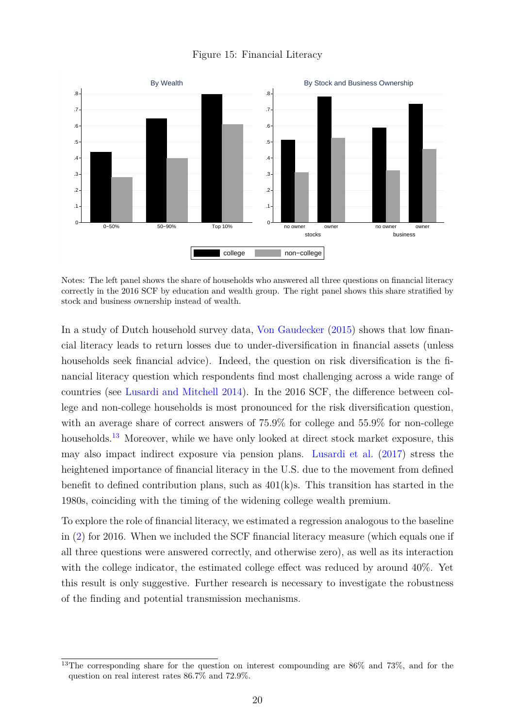#### Figure 15: Financial Literacy

<span id="page-20-0"></span>

Notes: The left panel shows the share of households who answered all three questions on financial literacy correctly in the 2016 SCF by education and wealth group. The right panel shows this share stratified by stock and business ownership instead of wealth.

In a study of Dutch household survey data, [Von Gaudecker](#page-27-3) [\(2015\)](#page-27-3) shows that low financial literacy leads to return losses due to under-diversification in financial assets (unless households seek financial advice). Indeed, the question on risk diversification is the financial literacy question which respondents find most challenging across a wide range of countries (see [Lusardi and Mitchell](#page-26-12) [2014\)](#page-26-12). In the 2016 SCF, the difference between college and non-college households is most pronounced for the risk diversification question, with an average share of correct answers of  $75.9\%$  for college and  $55.9\%$  for non-college households.<sup>[13](#page-20-1)</sup> Moreover, while we have only looked at direct stock market exposure, this may also impact indirect exposure via pension plans. [Lusardi et al.](#page-26-13) [\(2017\)](#page-26-13) stress the heightened importance of financial literacy in the U.S. due to the movement from defined benefit to defined contribution plans, such as  $401(k)s$ . This transition has started in the 1980s, coinciding with the timing of the widening college wealth premium.

To explore the role of financial literacy, we estimated a regression analogous to the baseline in [\(2\)](#page-14-2) for 2016. When we included the SCF financial literacy measure (which equals one if all three questions were answered correctly, and otherwise zero), as well as its interaction with the college indicator, the estimated college effect was reduced by around 40%. Yet this result is only suggestive. Further research is necessary to investigate the robustness of the finding and potential transmission mechanisms.

<span id="page-20-1"></span><sup>&</sup>lt;sup>13</sup>The corresponding share for the question on interest compounding are 86% and 73%, and for the question on real interest rates 86.7% and 72.9%.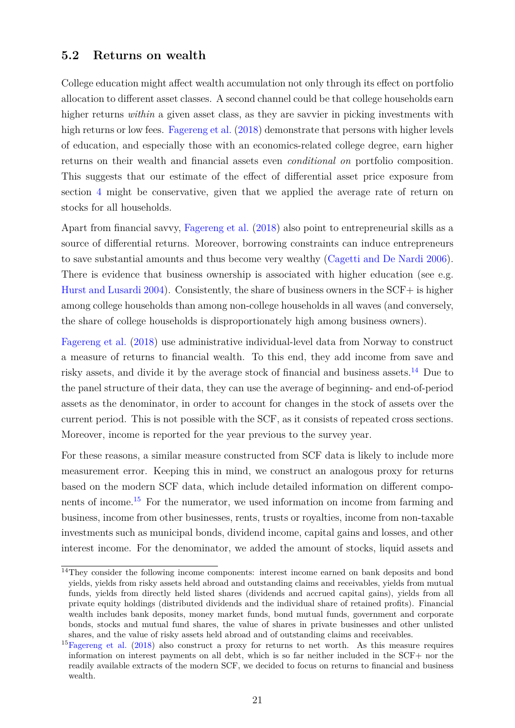#### **5.2 Returns on wealth**

College education might affect wealth accumulation not only through its effect on portfolio allocation to different asset classes. A second channel could be that college households earn higher returns *within* a given asset class, as they are savvier in picking investments with high returns or low fees. [Fagereng et al.](#page-25-11)  $(2018)$  demonstrate that persons with higher levels of education, and especially those with an economics-related college degree, earn higher returns on their wealth and financial assets even *conditional on* portfolio composition. This suggests that our estimate of the effect of differential asset price exposure from section [4](#page-13-0) might be conservative, given that we applied the average rate of return on stocks for all households.

Apart from financial savvy, [Fagereng et al.](#page-25-11) [\(2018\)](#page-25-11) also point to entrepreneurial skills as a source of differential returns. Moreover, borrowing constraints can induce entrepreneurs to save substantial amounts and thus become very wealthy [\(Cagetti and De Nardi](#page-25-12) [2006\)](#page-25-12). There is evidence that business ownership is associated with higher education (see e.g. [Hurst and Lusardi](#page-26-14) [2004\)](#page-26-14). Consistently, the share of business owners in the SCF+ is higher among college households than among non-college households in all waves (and conversely, the share of college households is disproportionately high among business owners).

[Fagereng et al.](#page-25-11) [\(2018\)](#page-25-11) use administrative individual-level data from Norway to construct a measure of returns to financial wealth. To this end, they add income from save and risky assets, and divide it by the average stock of financial and business assets.[14](#page-21-0) Due to the panel structure of their data, they can use the average of beginning- and end-of-period assets as the denominator, in order to account for changes in the stock of assets over the current period. This is not possible with the SCF, as it consists of repeated cross sections. Moreover, income is reported for the year previous to the survey year.

For these reasons, a similar measure constructed from SCF data is likely to include more measurement error. Keeping this in mind, we construct an analogous proxy for returns based on the modern SCF data, which include detailed information on different components of income.[15](#page-21-1) For the numerator, we used information on income from farming and business, income from other businesses, rents, trusts or royalties, income from non-taxable investments such as municipal bonds, dividend income, capital gains and losses, and other interest income. For the denominator, we added the amount of stocks, liquid assets and

<span id="page-21-0"></span><sup>&</sup>lt;sup>14</sup>They consider the following income components: interest income earned on bank deposits and bond yields, yields from risky assets held abroad and outstanding claims and receivables, yields from mutual funds, yields from directly held listed shares (dividends and accrued capital gains), yields from all private equity holdings (distributed dividends and the individual share of retained profits). Financial wealth includes bank deposits, money market funds, bond mutual funds, government and corporate bonds, stocks and mutual fund shares, the value of shares in private businesses and other unlisted shares, and the value of risky assets held abroad and of outstanding claims and receivables.

<span id="page-21-1"></span> $15F$ agereng et al. [\(2018\)](#page-25-11) also construct a proxy for returns to net worth. As this measure requires information on interest payments on all debt, which is so far neither included in the SCF+ nor the readily available extracts of the modern SCF, we decided to focus on returns to financial and business wealth.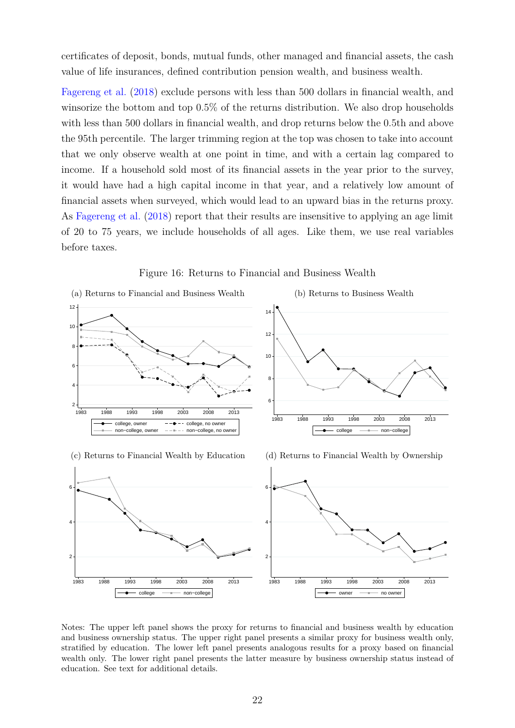certificates of deposit, bonds, mutual funds, other managed and financial assets, the cash value of life insurances, defined contribution pension wealth, and business wealth.

[Fagereng et al.](#page-25-11) [\(2018\)](#page-25-11) exclude persons with less than 500 dollars in financial wealth, and winsorize the bottom and top 0.5% of the returns distribution. We also drop households with less than 500 dollars in financial wealth, and drop returns below the 0.5th and above the 95th percentile. The larger trimming region at the top was chosen to take into account that we only observe wealth at one point in time, and with a certain lag compared to income. If a household sold most of its financial assets in the year prior to the survey, it would have had a high capital income in that year, and a relatively low amount of financial assets when surveyed, which would lead to an upward bias in the returns proxy. As [Fagereng et al.](#page-25-11) [\(2018\)](#page-25-11) report that their results are insensitive to applying an age limit of 20 to 75 years, we include households of all ages. Like them, we use real variables before taxes.

<span id="page-22-2"></span><span id="page-22-0"></span>

<span id="page-22-3"></span><span id="page-22-1"></span>Figure 16: Returns to Financial and Business Wealth

Notes: The upper left panel shows the proxy for returns to financial and business wealth by education and business ownership status. The upper right panel presents a similar proxy for business wealth only, stratified by education. The lower left panel presents analogous results for a proxy based on financial wealth only. The lower right panel presents the latter measure by business ownership status instead of education. See text for additional details.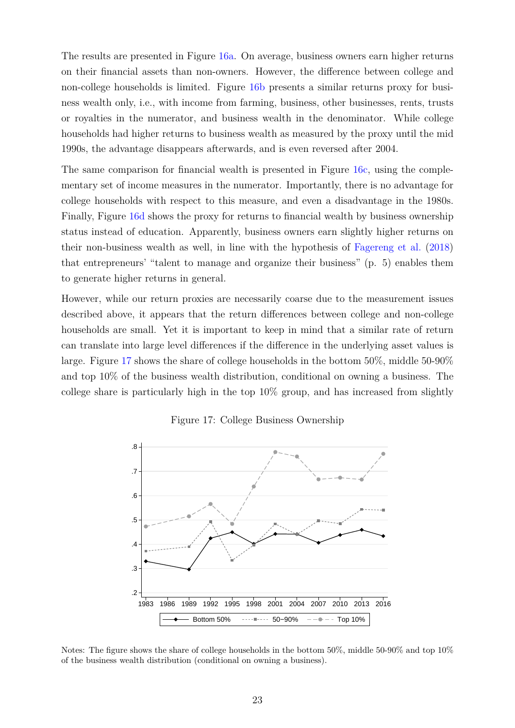The results are presented in Figure [16a.](#page-22-0) On average, business owners earn higher returns on their financial assets than non-owners. However, the difference between college and non-college households is limited. Figure [16b](#page-22-1) presents a similar returns proxy for business wealth only, i.e., with income from farming, business, other businesses, rents, trusts or royalties in the numerator, and business wealth in the denominator. While college households had higher returns to business wealth as measured by the proxy until the mid 1990s, the advantage disappears afterwards, and is even reversed after 2004.

The same comparison for financial wealth is presented in Figure [16c,](#page-22-2) using the complementary set of income measures in the numerator. Importantly, there is no advantage for college households with respect to this measure, and even a disadvantage in the 1980s. Finally, Figure [16d](#page-22-3) shows the proxy for returns to financial wealth by business ownership status instead of education. Apparently, business owners earn slightly higher returns on their non-business wealth as well, in line with the hypothesis of [Fagereng et al.](#page-25-11) [\(2018\)](#page-25-11) that entrepreneurs' "talent to manage and organize their business" (p. 5) enables them to generate higher returns in general.

However, while our return proxies are necessarily coarse due to the measurement issues described above, it appears that the return differences between college and non-college households are small. Yet it is important to keep in mind that a similar rate of return can translate into large level differences if the difference in the underlying asset values is large. Figure [17](#page-23-0) shows the share of college households in the bottom 50%, middle 50-90% and top 10% of the business wealth distribution, conditional on owning a business. The college share is particularly high in the top  $10\%$  group, and has increased from slightly

<span id="page-23-0"></span>

Figure 17: College Business Ownership

Notes: The figure shows the share of college households in the bottom 50%, middle 50-90% and top 10% of the business wealth distribution (conditional on owning a business).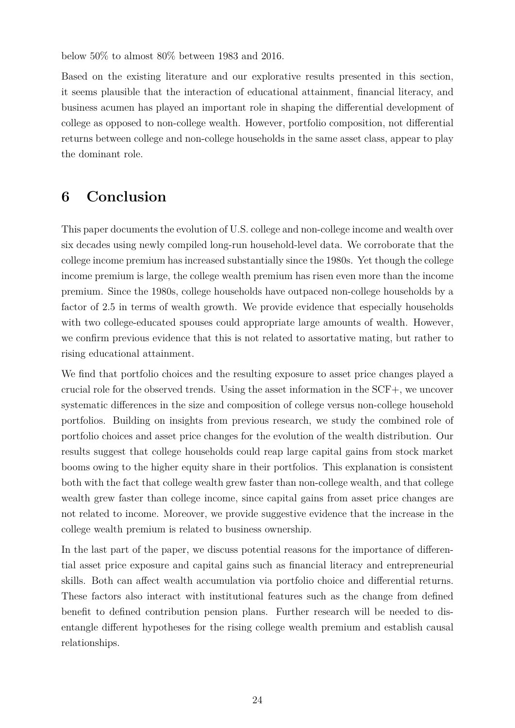below 50% to almost 80% between 1983 and 2016.

Based on the existing literature and our explorative results presented in this section, it seems plausible that the interaction of educational attainment, financial literacy, and business acumen has played an important role in shaping the differential development of college as opposed to non-college wealth. However, portfolio composition, not differential returns between college and non-college households in the same asset class, appear to play the dominant role.

# <span id="page-24-0"></span>**6 Conclusion**

This paper documents the evolution of U.S. college and non-college income and wealth over six decades using newly compiled long-run household-level data. We corroborate that the college income premium has increased substantially since the 1980s. Yet though the college income premium is large, the college wealth premium has risen even more than the income premium. Since the 1980s, college households have outpaced non-college households by a factor of 2.5 in terms of wealth growth. We provide evidence that especially households with two college-educated spouses could appropriate large amounts of wealth. However, we confirm previous evidence that this is not related to assortative mating, but rather to rising educational attainment.

We find that portfolio choices and the resulting exposure to asset price changes played a crucial role for the observed trends. Using the asset information in the SCF+, we uncover systematic differences in the size and composition of college versus non-college household portfolios. Building on insights from previous research, we study the combined role of portfolio choices and asset price changes for the evolution of the wealth distribution. Our results suggest that college households could reap large capital gains from stock market booms owing to the higher equity share in their portfolios. This explanation is consistent both with the fact that college wealth grew faster than non-college wealth, and that college wealth grew faster than college income, since capital gains from asset price changes are not related to income. Moreover, we provide suggestive evidence that the increase in the college wealth premium is related to business ownership.

In the last part of the paper, we discuss potential reasons for the importance of differential asset price exposure and capital gains such as financial literacy and entrepreneurial skills. Both can affect wealth accumulation via portfolio choice and differential returns. These factors also interact with institutional features such as the change from defined benefit to defined contribution pension plans. Further research will be needed to disentangle different hypotheses for the rising college wealth premium and establish causal relationships.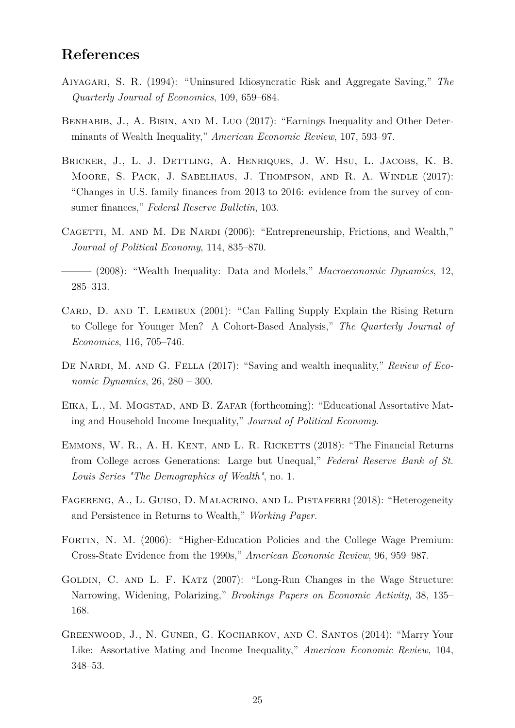## **References**

- <span id="page-25-7"></span>Aiyagari, S. R. (1994): "Uninsured Idiosyncratic Risk and Aggregate Saving," *The Quarterly Journal of Economics*, 109, 659–684.
- <span id="page-25-10"></span>BENHABIB, J., A. BISIN, AND M. LUO (2017): "Earnings Inequality and Other Determinants of Wealth Inequality," *American Economic Review*, 107, 593–97.
- <span id="page-25-5"></span>Bricker, J., L. J. Dettling, A. Henriques, J. W. Hsu, L. Jacobs, K. B. Moore, S. Pack, J. Sabelhaus, J. Thompson, and R. A. Windle (2017): "Changes in U.S. family finances from 2013 to 2016: evidence from the survey of consumer finances," *Federal Reserve Bulletin*, 103.
- <span id="page-25-12"></span>CAGETTI, M. AND M. DE NARDI (2006): "Entrepreneurship, Frictions, and Wealth," *Journal of Political Economy*, 114, 835–870.
- <span id="page-25-8"></span>——— (2008): "Wealth Inequality: Data and Models," *Macroeconomic Dynamics*, 12, 285–313.
- <span id="page-25-1"></span>CARD, D. AND T. LEMIEUX (2001): "Can Falling Supply Explain the Rising Return to College for Younger Men? A Cohort-Based Analysis," *The Quarterly Journal of Economics*, 116, 705–746.
- <span id="page-25-9"></span>DE NARDI, M. AND G. FELLA (2017): "Saving and wealth inequality," *Review of Economic Dynamics*, 26, 280 – 300.
- <span id="page-25-4"></span>EIKA, L., M. MOGSTAD, AND B. ZAFAR (forthcoming): "Educational Assortative Mating and Household Income Inequality," *Journal of Political Economy*.
- <span id="page-25-3"></span>EMMONS, W. R., A. H. KENT, AND L. R. RICKETTS (2018): "The Financial Returns from College across Generations: Large but Unequal," *Federal Reserve Bank of St. Louis Series "The Demographics of Wealth"*, no. 1.
- <span id="page-25-11"></span>FAGERENG, A., L. GUISO, D. MALACRINO, AND L. PISTAFERRI (2018): "Heterogeneity and Persistence in Returns to Wealth," *Working Paper*.
- <span id="page-25-2"></span>FORTIN, N. M. (2006): "Higher-Education Policies and the College Wage Premium: Cross-State Evidence from the 1990s," *American Economic Review*, 96, 959–987.
- <span id="page-25-0"></span>GOLDIN, C. AND L. F. KATZ (2007): "Long-Run Changes in the Wage Structure: Narrowing, Widening, Polarizing," *Brookings Papers on Economic Activity*, 38, 135– 168.
- <span id="page-25-6"></span>Greenwood, J., N. Guner, G. Kocharkov, and C. Santos (2014): "Marry Your Like: Assortative Mating and Income Inequality," *American Economic Review*, 104, 348–53.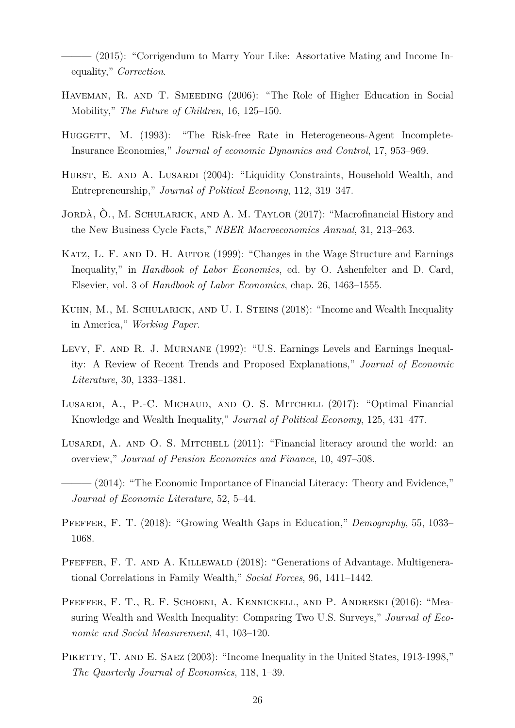<span id="page-26-9"></span>- (2015): "Corrigendum to Marry Your Like: Assortative Mating and Income Inequality," *Correction*.

- <span id="page-26-5"></span>HAVEMAN, R. AND T. SMEEDING (2006): "The Role of Higher Education in Social Mobility," *The Future of Children*, 16, 125–150.
- <span id="page-26-10"></span>HUGGETT, M. (1993): "The Risk-free Rate in Heterogeneous-Agent Incomplete-Insurance Economies," *Journal of economic Dynamics and Control*, 17, 953–969.
- <span id="page-26-14"></span>HURST, E. AND A. LUSARDI (2004): "Liquidity Constraints, Household Wealth, and Entrepreneurship," *Journal of Political Economy*, 112, 319–347.
- <span id="page-26-7"></span>JORDÀ, Ò., M. SCHULARICK, AND A. M. TAYLOR (2017): "Macrofinancial History and the New Business Cycle Facts," *NBER Macroeconomics Annual*, 31, 213–263.
- <span id="page-26-1"></span>KATZ, L. F. AND D. H. AUTOR (1999): "Changes in the Wage Structure and Earnings Inequality," in *Handbook of Labor Economics*, ed. by O. Ashenfelter and D. Card, Elsevier, vol. 3 of *Handbook of Labor Economics*, chap. 26, 1463–1555.
- <span id="page-26-3"></span>KUHN, M., M. SCHULARICK, AND U. I. STEINS (2018): "Income and Wealth Inequality in America," *Working Paper*.
- <span id="page-26-0"></span>Levy, F. and R. J. Murnane (1992): "U.S. Earnings Levels and Earnings Inequality: A Review of Recent Trends and Proposed Explanations," *Journal of Economic Literature*, 30, 1333–1381.
- <span id="page-26-13"></span>LUSARDI, A., P.-C. MICHAUD, AND O. S. MITCHELL (2017): "Optimal Financial Knowledge and Wealth Inequality," *Journal of Political Economy*, 125, 431–477.
- <span id="page-26-11"></span>LUSARDI, A. AND O. S. MITCHELL (2011): "Financial literacy around the world: an overview," *Journal of Pension Economics and Finance*, 10, 497–508.
- <span id="page-26-12"></span> $(2014)$ : "The Economic Importance of Financial Literacy: Theory and Evidence," *Journal of Economic Literature*, 52, 5–44.
- <span id="page-26-2"></span>Pfeffer, F. T. (2018): "Growing Wealth Gaps in Education," *Demography*, 55, 1033– 1068.
- <span id="page-26-6"></span>PFEFFER, F. T. AND A. KILLEWALD (2018): "Generations of Advantage. Multigenerational Correlations in Family Wealth," *Social Forces*, 96, 1411–1442.
- <span id="page-26-4"></span>PFEFFER, F. T., R. F. SCHOENI, A. KENNICKELL, AND P. ANDRESKI (2016): "Measuring Wealth and Wealth Inequality: Comparing Two U.S. Surveys," *Journal of Economic and Social Measurement*, 41, 103–120.
- <span id="page-26-8"></span>PIKETTY, T. AND E. SAEZ (2003): "Income Inequality in the United States, 1913-1998," *The Quarterly Journal of Economics*, 118, 1–39.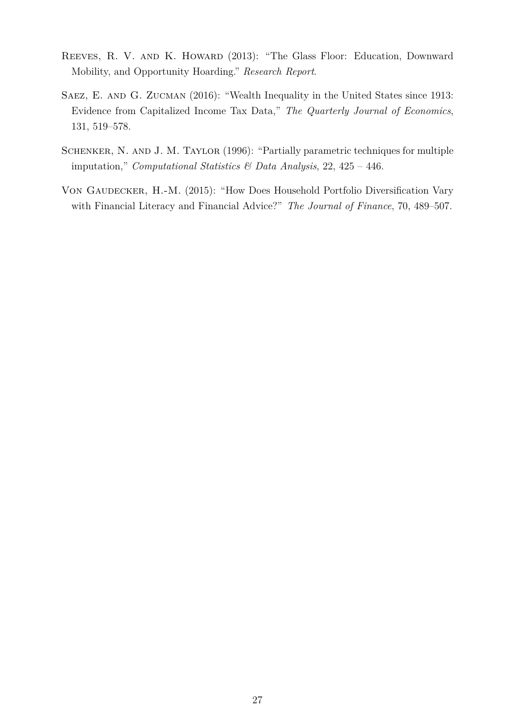- <span id="page-27-0"></span>Reeves, R. V. and K. Howard (2013): "The Glass Floor: Education, Downward Mobility, and Opportunity Hoarding." *Research Report*.
- <span id="page-27-2"></span>Saez, E. and G. Zucman (2016): "Wealth Inequality in the United States since 1913: Evidence from Capitalized Income Tax Data," *The Quarterly Journal of Economics*, 131, 519–578.
- <span id="page-27-1"></span>Schenker, N. and J. M. Taylor (1996): "Partially parametric techniques for multiple imputation," *Computational Statistics & Data Analysis*, 22, 425 – 446.
- <span id="page-27-3"></span>VON GAUDECKER, H.-M. (2015): "How Does Household Portfolio Diversification Vary with Financial Literacy and Financial Advice?" *The Journal of Finance*, 70, 489–507.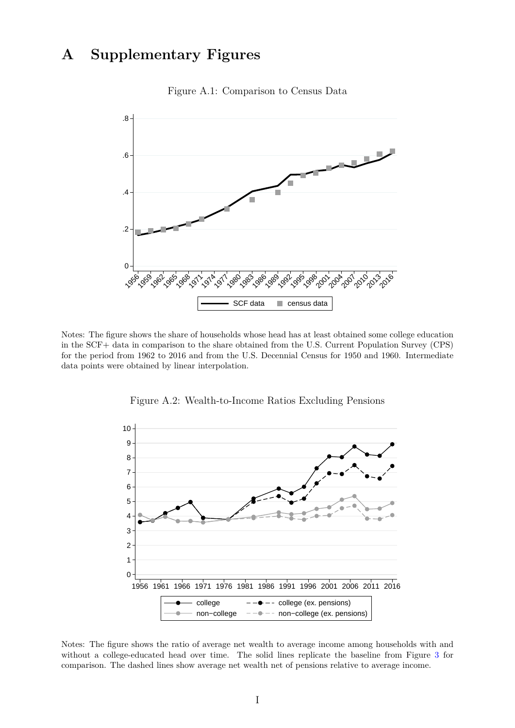# <span id="page-28-0"></span>**A Supplementary Figures**



Figure A.1: Comparison to Census Data

Notes: The figure shows the share of households whose head has at least obtained some college education in the SCF+ data in comparison to the share obtained from the U.S. Current Population Survey (CPS) for the period from 1962 to 2016 and from the U.S. Decennial Census for 1950 and 1960. Intermediate data points were obtained by linear interpolation.

<span id="page-28-1"></span>

Figure A.2: Wealth-to-Income Ratios Excluding Pensions

Notes: The figure shows the ratio of average net wealth to average income among households with and without a college-educated head over time. The solid lines replicate the baseline from Figure [3](#page-6-1) for comparison. The dashed lines show average net wealth net of pensions relative to average income.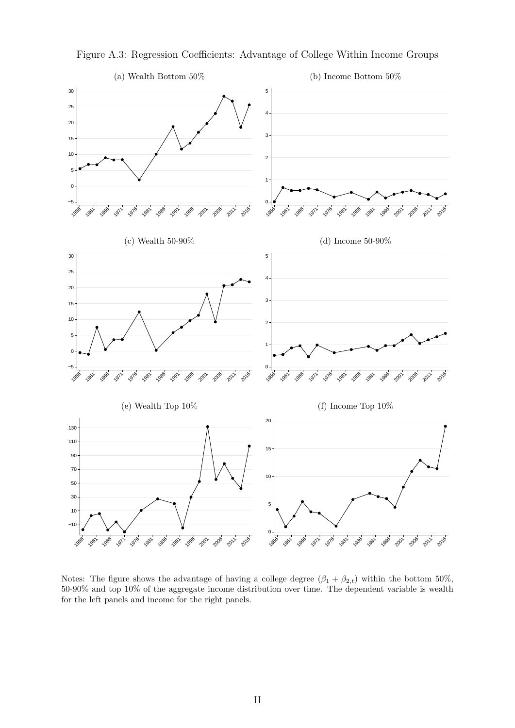

<span id="page-29-0"></span>Figure A.3: Regression Coefficients: Advantage of College Within Income Groups

Notes: The figure shows the advantage of having a college degree  $(\beta_1 + \beta_{2,t})$  within the bottom 50%, 50-90% and top 10% of the aggregate income distribution over time. The dependent variable is wealth for the left panels and income for the right panels.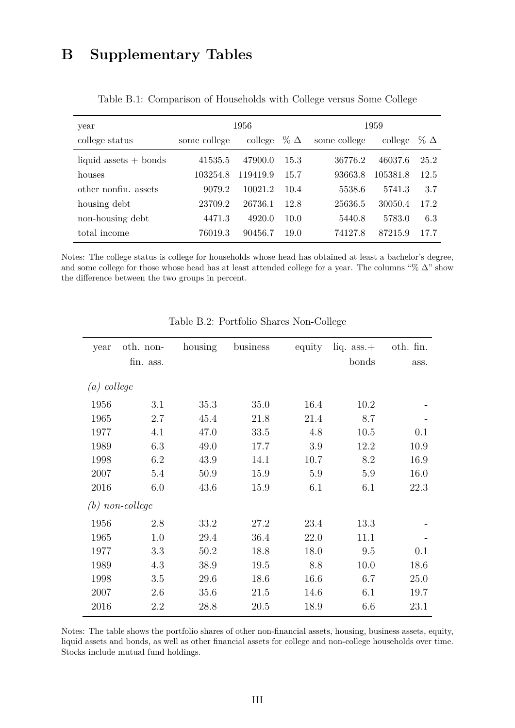# <span id="page-30-0"></span>**B Supplementary Tables**

| year                    |              | 1956     |               | 1959         |          |               |  |
|-------------------------|--------------|----------|---------------|--------------|----------|---------------|--|
| college status          | some college | college  | $\%$ $\Delta$ | some college | college  | $\%$ $\Delta$ |  |
| liquid assets $+$ bonds | 41535.5      | 47900.0  | 15.3          | 36776.2      | 46037.6  | 25.2          |  |
| houses                  | 103254.8     | 119419.9 | 15.7          | 93663.8      | 105381.8 | 12.5          |  |
| other nonfin. assets    | 9079.2       | 10021.2  | 10.4          | 5538.6       | 5741.3   | 3.7           |  |
| housing debt            | 23709.2      | 26736.1  | 12.8          | 25636.5      | 30050.4  | 17.2          |  |
| non-housing debt        | 4471.3       | 4920.0   | 10.0          | 5440.8       | 5783.0   | 6.3           |  |
| total income            | 76019.3      | 90456.7  | 19.0          | 74127.8      | 87215.9  | 17.7          |  |

Table B.1: Comparison of Households with College versus Some College

Notes: The college status is college for households whose head has obtained at least a bachelor's degree, and some college for those whose head has at least attended college for a year. The columns "% ∆" show the difference between the two groups in percent.

<span id="page-30-1"></span>

| year              | oth. non- | housing | business | equity | liq. $ass.+$ | oth. fin. |
|-------------------|-----------|---------|----------|--------|--------------|-----------|
|                   | fin. ass. |         |          |        | bonds        | ass.      |
| $(a)$ college     |           |         |          |        |              |           |
| 1956              | 3.1       | 35.3    | 35.0     | 16.4   | 10.2         |           |
| 1965              | 2.7       | 45.4    | 21.8     | 21.4   | 8.7          |           |
| 1977              | 4.1       | 47.0    | 33.5     | 4.8    | 10.5         | 0.1       |
| 1989              | 6.3       | 49.0    | 17.7     | 3.9    | 12.2         | 10.9      |
| 1998              | 6.2       | 43.9    | 14.1     | 10.7   | 8.2          | 16.9      |
| 2007              | 5.4       | 50.9    | 15.9     | 5.9    | 5.9          | 16.0      |
| 2016              | 6.0       | 43.6    | 15.9     | 6.1    | 6.1          | 22.3      |
| $(b)$ non-college |           |         |          |        |              |           |
| 1956              | 2.8       | 33.2    | 27.2     | 23.4   | 13.3         |           |
| 1965              | 1.0       | 29.4    | 36.4     | 22.0   | 11.1         |           |
| 1977              | 3.3       | 50.2    | 18.8     | 18.0   | 9.5          | 0.1       |
| 1989              | 4.3       | 38.9    | 19.5     | 8.8    | 10.0         | 18.6      |
| 1998              | 3.5       | 29.6    | 18.6     | 16.6   | 6.7          | 25.0      |
| 2007              | 2.6       | 35.6    | 21.5     | 14.6   | 6.1          | 19.7      |
| 2016              | 2.2       | 28.8    | 20.5     | 18.9   | 6.6          | 23.1      |

Table B.2: Portfolio Shares Non-College

Notes: The table shows the portfolio shares of other non-financial assets, housing, business assets, equity, liquid assets and bonds, as well as other financial assets for college and non-college households over time. Stocks include mutual fund holdings.